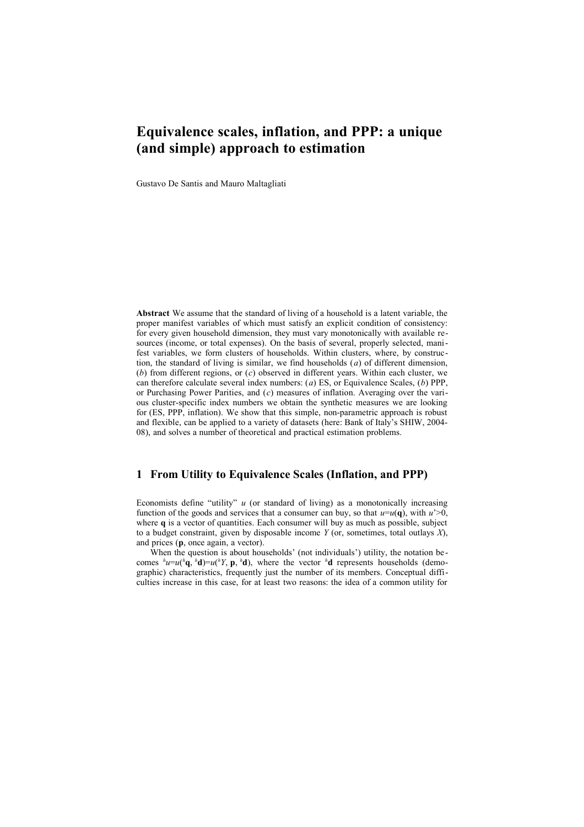# **Equivalence scales, inflation, and PPP: a unique (and simple) approach to estimation**

Gustavo De Santis and Mauro Maltagliati

**Abstract** We assume that the standard of living of a household is a latent variable, the proper manifest variables of which must satisfy an explicit condition of consistency: for every given household dimension, they must vary monotonically with available resources (income, or total expenses). On the basis of several, properly selected, manifest variables, we form clusters of households. Within clusters, where, by construction, the standard of living is similar, we find households (*a*) of different dimension, (*b*) from different regions, or (*c*) observed in different years. Within each cluster, we can therefore calculate several index numbers: (*a*) ES, or Equivalence Scales, (*b*) PPP, or Purchasing Power Parities, and (*c*) measures of inflation. Averaging over the various cluster-specific index numbers we obtain the synthetic measures we are looking for (ES, PPP, inflation). We show that this simple, non-parametric approach is robust and flexible, can be applied to a variety of datasets (here: Bank of Italy's SHIW, 2004- 08), and solves a number of theoretical and practical estimation problems.

# **1 From Utility to Equivalence Scales (Inflation, and PPP)**

Economists define "utility" *u* (or standard of living) as a monotonically increasing function of the goods and services that a consumer can buy, so that  $u=u(\mathbf{q})$ , with  $u' \ge 0$ , where **q** is a vector of quantities. Each consumer will buy as much as possible, subject to a budget constraint, given by disposable income  $Y$  (or, sometimes, total outlays  $X$ ), and prices (**p**, once again, a vector).

When the question is about households' (not individuals') utility, the notation be comes  $^h u = u(^h \mathbf{q}, \ ^h \mathbf{d}) = u(^h Y, \mathbf{p}, \ ^h \mathbf{d})$ , where the vector  $^h \mathbf{d}$  represents households (demographic) characteristics, frequently just the number of its members. Conceptual difficulties increase in this case, for at least two reasons: the idea of a common utility for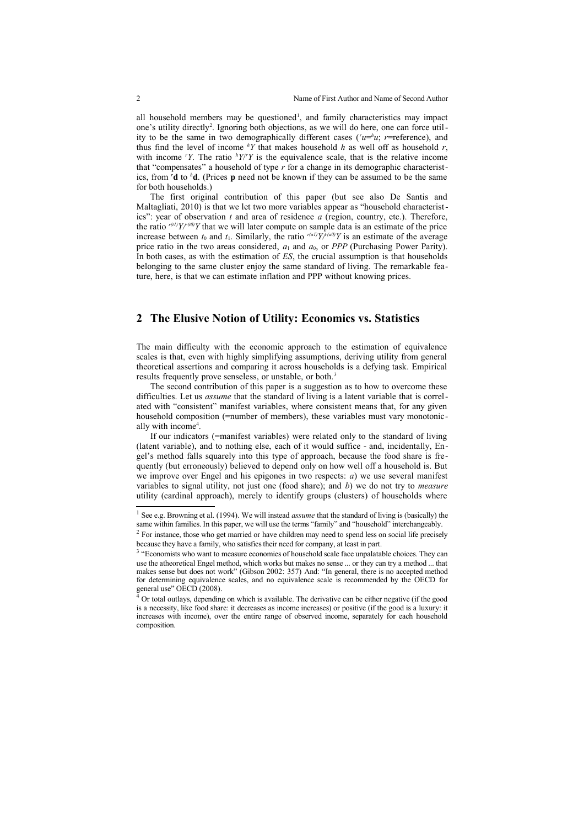all household members may be questioned<sup>[1](#page-1-0)</sup>, and family characteristics may impact one's utility directly<sup>[2](#page-1-1)</sup>. Ignoring both objections, as we will do here, one can force utility to be the same in two demographically different cases ( $\mu = \mu$ ; *r*=reference), and thus find the level of income  $\frac{h}{f}$  that makes household *h* as well off as household *r*, with income  $\gamma Y$ . The ratio  $\gamma Y/Y$  is the equivalence scale, that is the relative income that "compensates" a household of type *r* for a change in its demographic characteristics, from *<sup>r</sup>***d** to *<sup>h</sup>***d**. (Prices **p** need not be known if they can be assumed to be the same for both households.)

The first original contribution of this paper (but see also De Santis and Maltagliati, 2010) is that we let two more variables appear as "household characteristics": year of observation *t* and area of residence *a* (region, country, etc.). Therefore, the ratio  $r(t)$ *Y*/ $r(t0)$ *Y* that we will later compute on sample data is an estimate of the price increase between  $t_0$  and  $t_1$ . Similarly, the ratio  $r(a)/\gamma f(a0)/\gamma$  is an estimate of the average price ratio in the two areas considered,  $a_1$  and  $a_0$ , or *PPP* (Purchasing Power Parity). In both cases, as with the estimation of *ES*, the crucial assumption is that households belonging to the same cluster enjoy the same standard of living. The remarkable feature, here, is that we can estimate inflation and PPP without knowing prices.

### **2 The Elusive Notion of Utility: Economics vs. Statistics**

The main difficulty with the economic approach to the estimation of equivalence scales is that, even with highly simplifying assumptions, deriving utility from general theoretical assertions and comparing it across households is a defying task. Empirical results frequently prove senseless, or unstable, or both.<sup>[3](#page-1-2)</sup>

The second contribution of this paper is a suggestion as to how to overcome these difficulties. Let us *assume* that the standard of living is a latent variable that is correlated with "consistent" manifest variables, where consistent means that, for any given household composition (=number of members), these variables must vary monotonic-ally with income<sup>[4](#page-1-3)</sup>.

If our indicators (=manifest variables) were related only to the standard of living (latent variable), and to nothing else, each of it would suffice - and, incidentally, Engel's method falls squarely into this type of approach, because the food share is frequently (but erroneously) believed to depend only on how well off a household is. But we improve over Engel and his epigones in two respects: *a*) we use several manifest variables to signal utility, not just one (food share); and *b*) we do not try to *measure* utility (cardinal approach), merely to identify groups (clusters) of households where

<span id="page-1-0"></span><sup>&</sup>lt;sup>1</sup> See e.g. Browning et al. (1994). We will instead *assume* that the standard of living is (basically) the same within families. In this paper, we will use the terms "family" and "household" interchangeably.<br><sup>2</sup> For instance, those who get married or have children may need to spend less on social life precisely

<span id="page-1-1"></span>because they have a family, who satisfies their need for company, at least in part.

<span id="page-1-2"></span><sup>&</sup>lt;sup>3</sup> "Economists who want to measure economies of household scale face unpalatable choices. They can use the atheoretical Engel method, which works but makes no sense ... or they can try a method ... that makes sense but does not work" (Gibson 2002: 357) And: "In general, there is no accepted method for determining equivalence scales, and no equivalence scale is recommended by the OECD for general use" OECD (2008).

<span id="page-1-3"></span> $4\overline{4}$  Or total outlays, depending on which is available. The derivative can be either negative (if the good is a necessity, like food share: it decreases as income increases) or positive (if the good is a luxury: it increases with income), over the entire range of observed income, separately for each household composition.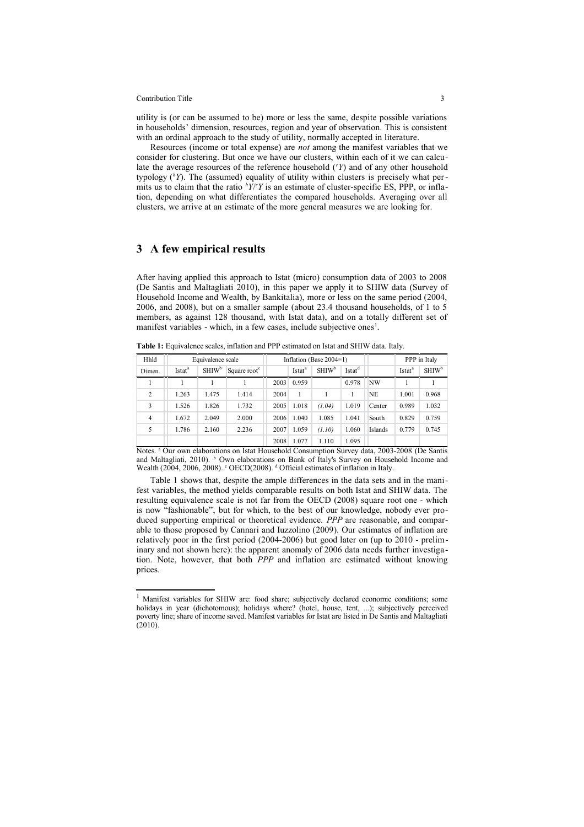#### Contribution Title 3

utility is (or can be assumed to be) more or less the same, despite possible variations in households' dimension, resources, region and year of observation. This is consistent with an ordinal approach to the study of utility, normally accepted in literature.

Resources (income or total expense) are *not* among the manifest variables that we consider for clustering. But once we have our clusters, within each of it we can calculate the average resources of the reference household (*<sup>r</sup>Y*) and of any other household typology (*hY*). The (assumed) equality of utility within clusters is precisely what permits us to claim that the ratio  $hY/Y'Y$  is an estimate of cluster-specific ES, PPP, or inflation, depending on what differentiates the compared households. Averaging over all clusters, we arrive at an estimate of the more general measures we are looking for.

### **3 A few empirical results**

After having applied this approach to Istat (micro) consumption data of 2003 to 2008 (De Santis and Maltagliati 2010), in this paper we apply it to SHIW data (Survey of Household Income and Wealth, by Bankitalia), more or less on the same period (2004, 2006, and 2008), but on a smaller sample (about 23.4 thousand households, of 1 to 5 members, as against 128 thousand, with Istat data), and on a totally different set of manifest variables - which, in a few cases, include subjective ones<sup>[1](#page-2-0)</sup>.

**Table 1:** Equivalence scales, inflation and PPP estimated on Istat and SHIW data. Italy.

| Hhld           | Equivalence scale  |                          |                          | Inflation (Base $2004=1$ ) |                    |                          |                    |           | PPP in Italy       |                          |
|----------------|--------------------|--------------------------|--------------------------|----------------------------|--------------------|--------------------------|--------------------|-----------|--------------------|--------------------------|
| Dimen.         | Istat <sup>a</sup> | <b>SHIW</b> <sup>b</sup> | Square root <sup>c</sup> |                            | Istat <sup>a</sup> | <b>SHIW</b> <sup>b</sup> | Istat <sup>d</sup> |           | Istat <sup>a</sup> | <b>SHIW</b> <sup>b</sup> |
|                |                    |                          |                          | 2003                       | 0.959              |                          | 0.978              | <b>NW</b> |                    |                          |
| 2              | 1.263              | 1.475                    | 1.414                    | 2004                       | 1                  |                          |                    | NE        | 1.001              | 0.968                    |
| 3              | 1.526              | 1.826                    | 1.732                    | 2005                       | 1.018              | (1.04)                   | 1.019              | Center    | 0.989              | 1.032                    |
| $\overline{4}$ | 1.672              | 2.049                    | 2.000                    | 2006                       | 1.040              | 1.085                    | 1.041              | South     | 0.829              | 0.759                    |
| 5              | 1.786              | 2.160                    | 2.236                    | 2007                       | 1.059              | (1.10)                   | 1.060              | Islands   | 0.779              | 0.745                    |
|                |                    |                          |                          | 2008                       | 1.077              | 1.110                    | 1.095              |           |                    |                          |

Notes. <sup>a</sup> Our own elaborations on Istat Household Consumption Survey data, 2003-2008 (De Santis and Maltagliati, 2010). <sup>b</sup> Own elaborations on Bank of Italy's Survey on Household Income and Wealth (2004, 2006, 2008). <sup>c</sup> OECD(2008). <sup>d</sup> Official estimates of inflation in Italy.

Table 1 shows that, despite the ample differences in the data sets and in the manifest variables, the method yields comparable results on both Istat and SHIW data. The resulting equivalence scale is not far from the OECD (2008) square root one - which is now "fashionable", but for which, to the best of our knowledge, nobody ever produced supporting empirical or theoretical evidence. *PPP* are reasonable, and comparable to those proposed by Cannari and Iuzzolino (2009). Our estimates of inflation are relatively poor in the first period (2004-2006) but good later on (up to 2010 - preliminary and not shown here): the apparent anomaly of 2006 data needs further investigation. Note, however, that both *PPP* and inflation are estimated without knowing prices.

<span id="page-2-0"></span><sup>&</sup>lt;sup>1</sup> Manifest variables for SHIW are: food share; subjectively declared economic conditions; some holidays in year (dichotomous); holidays where? (hotel, house, tent, ...); subjectively perceived poverty line; share of income saved. Manifest variables for Istat are listed in De Santis and Maltagliati  $(2010)$ .